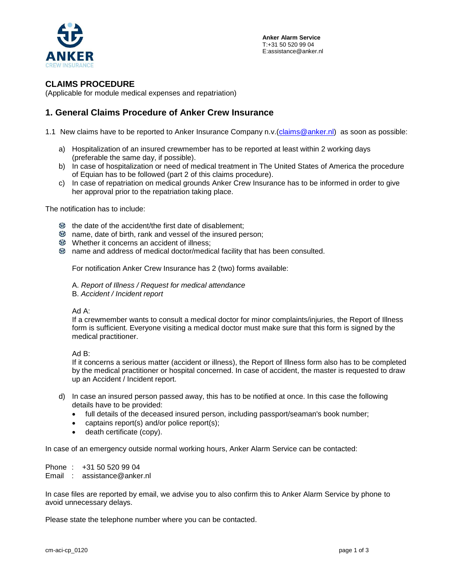

## **CLAIMS PROCEDURE**

(Applicable for module medical expenses and repatriation)

## **1. General Claims Procedure of Anker Crew Insurance**

- 1.1 New claims have to be reported to Anker Insurance Company n.v. [\(claims@anker.nl\)](mailto:claims@anker.nl) as soon as possible:
	- a) Hospitalization of an insured crewmember has to be reported at least within 2 working days (preferable the same day, if possible).
	- b) In case of hospitalization or need of medical treatment in The United States of America the procedure of Equian has to be followed (part 2 of this claims procedure).
	- c) In case of repatriation on medical grounds Anker Crew Insurance has to be informed in order to give her approval prior to the repatriation taking place.

The notification has to include:

- $\bigoplus$  the date of the accident/the first date of disablement;
- **6** name, date of birth, rank and vessel of the insured person;
- Whether it concerns an accident of illness;
- name and address of medical doctor/medical facility that has been consulted.

For notification Anker Crew Insurance has 2 (two) forms available:

A. *Report of Illness / Request for medical attendance* B. *Accident / Incident report* 

Ad A:

If a crewmember wants to consult a medical doctor for minor complaints/injuries, the Report of Illness form is sufficient. Everyone visiting a medical doctor must make sure that this form is signed by the medical practitioner.

Ad B:

If it concerns a serious matter (accident or illness), the Report of Illness form also has to be completed by the medical practitioner or hospital concerned. In case of accident, the master is requested to draw up an Accident / Incident report.

- d) In case an insured person passed away, this has to be notified at once. In this case the following details have to be provided:
	- full details of the deceased insured person, including passport/seaman's book number;
	- captains report(s) and/or police report(s);
	- death certificate (copy).

In case of an emergency outside normal working hours, Anker Alarm Service can be contacted:

Phone : +31 50 520 99 04

Email : assistance@anker.nl

In case files are reported by email, we advise you to also confirm this to Anker Alarm Service by phone to avoid unnecessary delays.

Please state the telephone number where you can be contacted.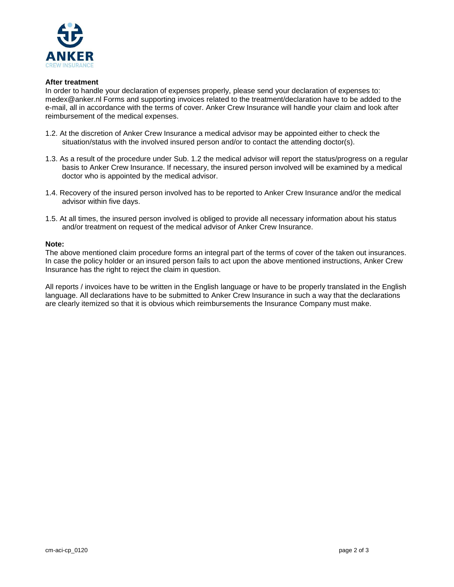

### **After treatment**

In order to handle your declaration of expenses properly, please send your declaration of expenses to: medex@anker.nl Forms and supporting invoices related to the treatment/declaration have to be added to the e-mail, all in accordance with the terms of cover. Anker Crew Insurance will handle your claim and look after reimbursement of the medical expenses.

- 1.2. At the discretion of Anker Crew Insurance a medical advisor may be appointed either to check the situation/status with the involved insured person and/or to contact the attending doctor(s).
- 1.3. As a result of the procedure under Sub. 1.2 the medical advisor will report the status/progress on a regular basis to Anker Crew Insurance. If necessary, the insured person involved will be examined by a medical doctor who is appointed by the medical advisor.
- 1.4. Recovery of the insured person involved has to be reported to Anker Crew Insurance and/or the medical advisor within five days.
- 1.5. At all times, the insured person involved is obliged to provide all necessary information about his status and/or treatment on request of the medical advisor of Anker Crew Insurance.

#### **Note:**

The above mentioned claim procedure forms an integral part of the terms of cover of the taken out insurances. In case the policy holder or an insured person fails to act upon the above mentioned instructions, Anker Crew Insurance has the right to reject the claim in question.

All reports / invoices have to be written in the English language or have to be properly translated in the English language. All declarations have to be submitted to Anker Crew Insurance in such a way that the declarations are clearly itemized so that it is obvious which reimbursements the Insurance Company must make.